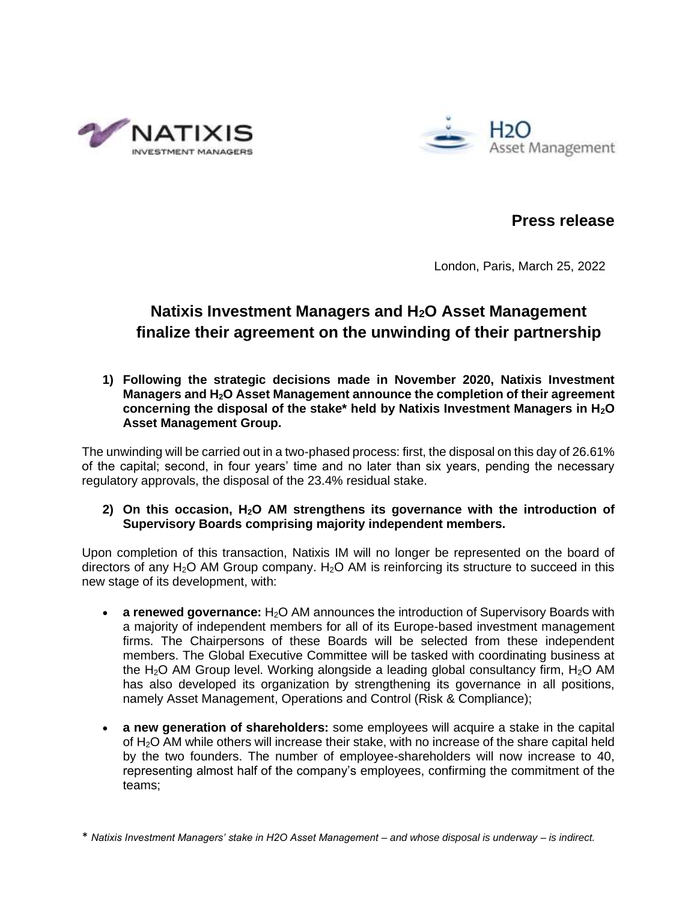



**Press release**

London, Paris, March 25, 2022

# **Natixis Investment Managers and H2O Asset Management finalize their agreement on the unwinding of their partnership**

**1) Following the strategic decisions made in November 2020, Natixis Investment Managers and H2O Asset Management announce the completion of their agreement concerning the disposal of the stake\* held by Natixis Investment Managers in H2O Asset Management Group.** 

The unwinding will be carried out in a two-phased process: first, the disposal on this day of 26.61% of the capital; second, in four years' time and no later than six years, pending the necessary regulatory approvals, the disposal of the 23.4% residual stake.

# **2) On this occasion, H2O AM strengthens its governance with the introduction of Supervisory Boards comprising majority independent members.**

Upon completion of this transaction, Natixis IM will no longer be represented on the board of directors of any  $H_2O$  AM Group company.  $H_2O$  AM is reinforcing its structure to succeed in this new stage of its development, with:

- **a renewed governance:** H<sub>2</sub>O AM announces the introduction of Supervisory Boards with a majority of independent members for all of its Europe-based investment management firms. The Chairpersons of these Boards will be selected from these independent members. The Global Executive Committee will be tasked with coordinating business at the  $H_2O$  AM Group level. Working alongside a leading global consultancy firm,  $H_2O$  AM has also developed its organization by strengthening its governance in all positions, namely Asset Management, Operations and Control (Risk & Compliance);
- **a new generation of shareholders:** some employees will acquire a stake in the capital of H2O AM while others will increase their stake, with no increase of the share capital held by the two founders. The number of employee-shareholders will now increase to 40, representing almost half of the company's employees, confirming the commitment of the teams;

<sup>\*</sup> *Natixis Investment Managers' stake in H2O Asset Management – and whose disposal is underway – is indirect.*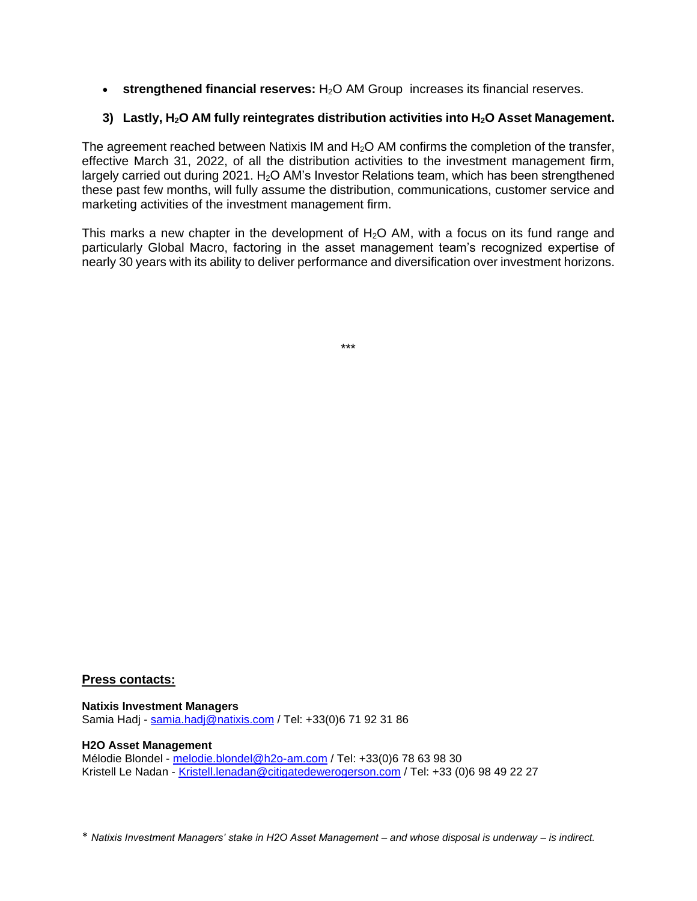• **strengthened financial reserves:** H<sub>2</sub>O AM Group increases its financial reserves.

# **3) Lastly, H2O AM fully reintegrates distribution activities into H2O Asset Management.**

The agreement reached between Natixis IM and  $H_2O$  AM confirms the completion of the transfer, effective March 31, 2022, of all the distribution activities to the investment management firm, largely carried out during 2021.  $H<sub>2</sub>O AM's$  Investor Relations team, which has been strengthened these past few months, will fully assume the distribution, communications, customer service and marketing activities of the investment management firm.

This marks a new chapter in the development of  $H_2O$  AM, with a focus on its fund range and particularly Global Macro, factoring in the asset management team's recognized expertise of nearly 30 years with its ability to deliver performance and diversification over investment horizons.

\*\*\*

## **Press contacts:**

**Natixis Investment Managers**  Samia Hadj - [samia.hadj@natixis.com](mailto:samia.hadj@natixis.com) / Tel: +33(0)6 71 92 31 86

## **H2O Asset Management**

Mélodie Blondel - [melodie.blondel@h2o-am.com](mailto:melodie.blondel@h2o-am.com) / Tel: +33(0)6 78 63 98 30 Kristell Le Nadan - [Kristell.lenadan@citigatedewerogerson.com](mailto:Kristell.lenadan@citigatedewerogerson.com) / Tel: +33 (0)6 98 49 22 27

\* *Natixis Investment Managers' stake in H2O Asset Management – and whose disposal is underway – is indirect.*